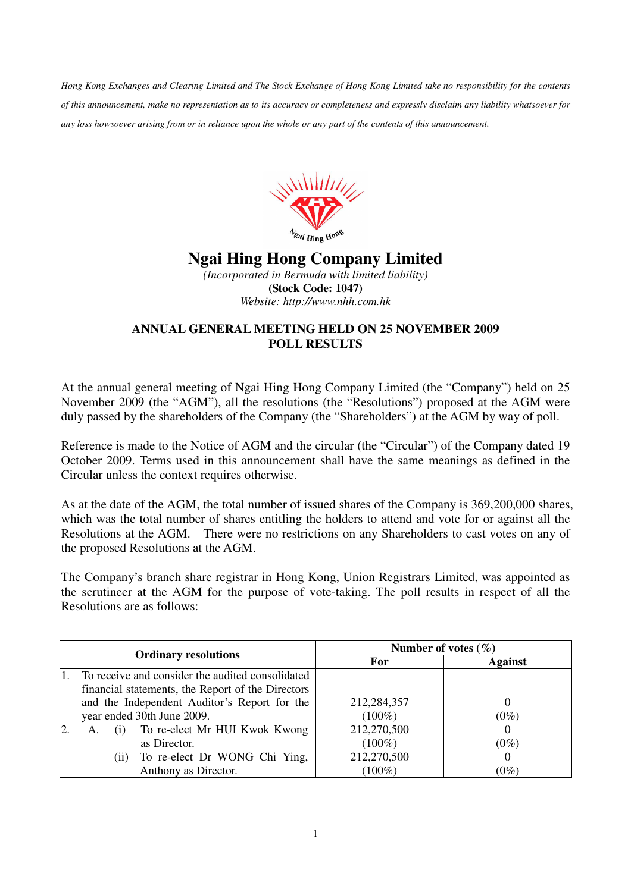*Hong Kong Exchanges and Clearing Limited and The Stock Exchange of Hong Kong Limited take no responsibility for the contents of this announcement, make no representation as to its accuracy or completeness and expressly disclaim any liability whatsoever for any loss howsoever arising from or in reliance upon the whole or any part of the contents of this announcement.* 



## **Ngai Hing Hong Company Limited**

*(Incorporated in Bermuda with limited liability)*  **(Stock Code: 1047)**  *Website: http://www.nhh.com.hk* 

## **ANNUAL GENERAL MEETING HELD ON 25 NOVEMBER 2009 POLL RESULTS**

At the annual general meeting of Ngai Hing Hong Company Limited (the "Company") held on 25 November 2009 (the "AGM"), all the resolutions (the "Resolutions") proposed at the AGM were duly passed by the shareholders of the Company (the "Shareholders") at the AGM by way of poll.

Reference is made to the Notice of AGM and the circular (the "Circular") of the Company dated 19 October 2009. Terms used in this announcement shall have the same meanings as defined in the Circular unless the context requires otherwise.

As at the date of the AGM, the total number of issued shares of the Company is 369,200,000 shares, which was the total number of shares entitling the holders to attend and vote for or against all the Resolutions at the AGM. There were no restrictions on any Shareholders to cast votes on any of the proposed Resolutions at the AGM.

The Company's branch share registrar in Hong Kong, Union Registrars Limited, was appointed as the scrutineer at the AGM for the purpose of vote-taking. The poll results in respect of all the Resolutions are as follows:

|    | <b>Ordinary resolutions</b>                       | Number of votes $(\% )$ |                |
|----|---------------------------------------------------|-------------------------|----------------|
|    |                                                   | For                     | <b>Against</b> |
| 1. | To receive and consider the audited consolidated  |                         |                |
|    | financial statements, the Report of the Directors |                         |                |
|    | and the Independent Auditor's Report for the      | 212,284,357             |                |
|    | year ended 30th June 2009.                        | $(100\%)$               | $(0\%)$        |
|    | To re-elect Mr HUI Kwok Kwong<br>A.               | 212,270,500             |                |
|    | as Director.                                      | $(100\%)$               | $(0\%)$        |
|    | To re-elect Dr WONG Chi Ying,<br>(ii)             | 212,270,500             |                |
|    | Anthony as Director.                              | $(100\%)$               | $(0\%)$        |